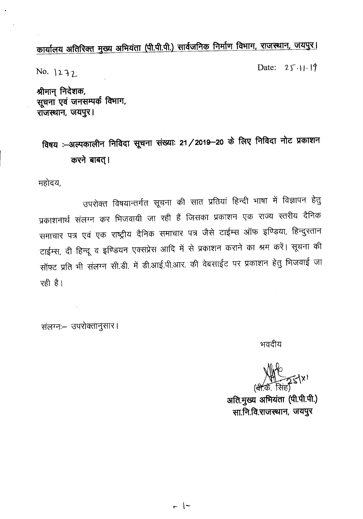# कार्यालय अतिरिक्त मुख्य अभियंता (पी.पी.पी.) सार्वजनिक निर्माण विभाग, राजस्थान, जयपुर।

 $No. |237|$ 

Date:  $25.11.19$ 

 $\frac{1}{2}$ भीमान् निदेशक, सूचना एवं जनसम्पर्क विभाग, **~, \i1l49;'< I**

## **<sup>~</sup> :--3I(lqct>lt;fI'1** Pt~&1 ~ ~: **21/2019-20 c6 ~** Pt~&1 **""'1)c !J4ct>IYlI'1**  $\overline{a}$  *क*रने बाबत् ।

महोदय,

उपरोक्त विषयान्तर्गत सूचना की सात प्रतियां हिन्दी भाषा में विज्ञापन हेतु प्रकाशनार्थ संलग्न कर भिजवायी जा रही हैं जिसका प्रकाशन एक राज्य स्तरीय दैनिक समाचार पत्र एवं एक राष्ट्रीय दैनिक समाचार पत्र जैसे टाईम्स ऑफ इण्डिया, हिन्दुस्तान टाईम्स, दी हिन्दू व इण्डियन एक्सप्रेस आदि में से प्रकाशन कराने का श्रम करें। सूचना की सॉफ्ट प्रति भी संलग्न सी.डी. में डी.आई.पी.आर. की वेबसाईट पर प्रकाशन हेतु भिजवाई जा  $\overrightarrow{R}$ 

संलग्नः- उपरोक्तानुसार।

भवदीय

 $\rightarrow$ 

अति.मुख्य अभियंता (पी.पी.पी.) ~.~.fct~, **\i1l49;'<**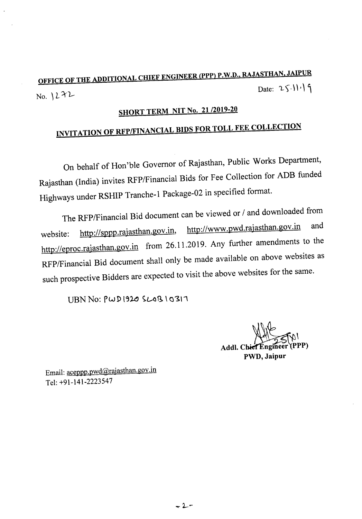### OFFICE OF THE ADDITIONAL CHIEF ENGINEER (PPP) P.W.D., RAJASTHAN, JAIPUR Date:  $25\cdot 11$ <sup>1</sup>  $No.$   $1272$

## SHORT TERM NIT No. 21/2019-20

# INVITATION OF RFP/FINANCIAL BIDS FOR TOLL FEE COLLECTION

On behalf of Hon'ble Governor of Rajasthan, Public Works Department, Rajasthan (India) invites RFPlFinancial Bids for Fee Collection for ADB funded Highways under RSHIP Tranche-1 Package-02 in specified format.

The RFPlFinancial Bid document can be viewed or *I* and downloaded from website: http://sppp.rajasthan.gov.in, http://www.pwd.rajasthan.gov.in and http://eproc.rajasthan.gov.in from 26.11.2019. Any further amendments to the RFPlFinancial Bid document shall only be made available on above websites as such prospective Bidders are expected to visit the above websites for the same.

 $UBNNo: PWD1920$   $SL0B10311$ 

 $N+1$ YPPP) Addl. Chief Engineer PWD, Jaipur

Email: aceppp.pwd@rajasthan.gov.in Tel: +91-141-2223547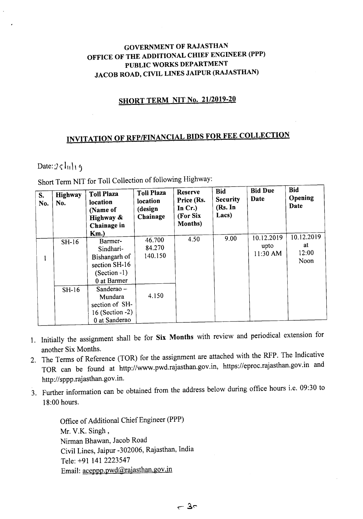#### GOVERNMENT OF RAJASTHAN OFFICE OF THE ADDITIONAL CHIEF ENGINEER (PPP) PUBLIC WORKS DEPARTMENT JACOB ROAD, CIVIL LINES JAIPUR (RAJASTHAN)

### **SHORT TERM NIT No. 21/2019-20**

## INVITATION OF RFP/FINANCIAL BIDS FOR FEE COLLECTION

#### Date:  $2 \zeta \ln |\eta|$

Short Term NIT for Toll Collection of following Highway:

| S.<br>No. | Highway<br>No. | <b>Toll Plaza</b><br>location<br>(Name of<br>Highway &<br>Chainage in<br>Km.            | <b>Toll Plaza</b><br>location<br>(design<br>Chainage | <b>Reserve</b><br>Price (Rs.<br>In $Cr.$ )<br>(For Six)<br><b>Months</b> ) | <b>Bid</b><br><b>Security</b><br>(Rs. In<br>Lacs) | <b>Bid Due</b><br>Date         | <b>Bid</b><br>Opening<br>Date     |
|-----------|----------------|-----------------------------------------------------------------------------------------|------------------------------------------------------|----------------------------------------------------------------------------|---------------------------------------------------|--------------------------------|-----------------------------------|
|           | $SH-16$        | Barmer-<br>Sindhari-<br>Bishangarh of<br>section SH-16<br>$(Section -1)$<br>0 at Barmer | 46.700<br>84.270<br>140.150                          | 4.50                                                                       | 9.00                                              | 10.12.2019<br>upto<br>11:30 AM | 10.12.2019<br>at<br>12:00<br>Noon |
|           | $SH-16$        | Sanderao $-$<br>Mundara<br>section of SH-<br>16 (Section -2)<br>0 at Sanderao           | 4.150                                                |                                                                            |                                                   |                                |                                   |

- 1. Initially the assignment shall be for Six Months with review and periodical extension for another Six Months.
- 2. The Terms of Reference (TOR) for the assignment are attached with the RFP. The Indicative TOR can be found at http://www.pwd.rajasthan.gov.in, https://eproc.rajasthan.gov.in and http://sppp.rajasthan.gov.in.
- 3. Further information can be obtained from the address below during office hours i.e. 09:30 to 18:00 hours.

Office of Additional Chief Engineer (PPP) Mr. V.K. Singh, Nirman Bhawan, Jacob Road Civil Lines, Jaipur -302006, Rajasthan, India Tele: +91 141 2223547 Email: aceppp.pwd@rajasthan.gov.in